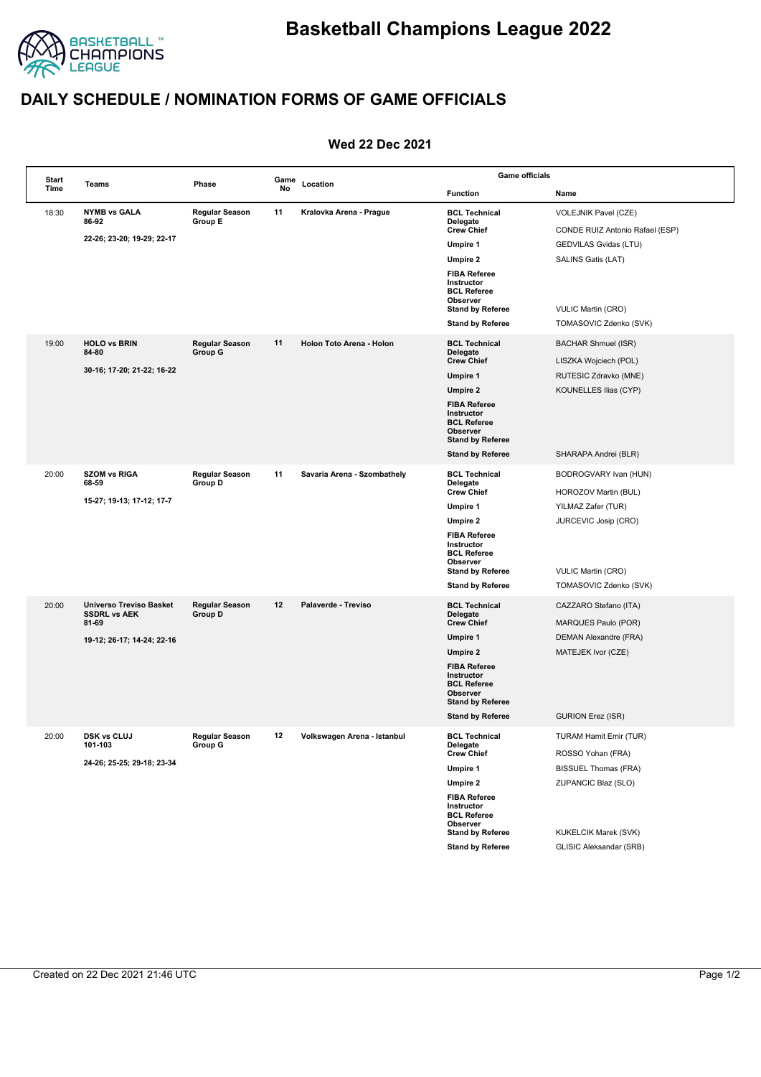

## **DAILY SCHEDULE / NOMINATION FORMS OF GAME OFFICIALS**

## **Wed 22 Dec 2021**

| Start |                                                                | Phase                            | Game<br>No |                             | <b>Game officials</b>                                                                                                     |                                                     |  |
|-------|----------------------------------------------------------------|----------------------------------|------------|-----------------------------|---------------------------------------------------------------------------------------------------------------------------|-----------------------------------------------------|--|
| Time  | Teams                                                          |                                  |            | Location                    | <b>Function</b>                                                                                                           | Name                                                |  |
| 18:30 | <b>NYMB vs GALA</b><br>86 92                                   | 11<br>Regular Season<br>Group E  |            | Kralovka Arena - Prague     | <b>BCL Technical</b><br>Delegate                                                                                          | VOLEJNIK Pavel (CZE)                                |  |
|       | 22 26; 23 20; 19 29; 22 17                                     |                                  |            |                             | <b>Crew Chief</b>                                                                                                         | CONDE RUIZ Antonio Rafael (ESP)                     |  |
|       |                                                                |                                  |            |                             | Umpire 1                                                                                                                  | GEDVILAS Gvidas (LTU)                               |  |
|       |                                                                |                                  |            |                             | Umpire 2                                                                                                                  | SALINS Gatis (LAT)                                  |  |
|       |                                                                |                                  |            |                             | <b>FIBA Referee</b><br>Instructor<br><b>BCL Referee</b><br>Observer<br><b>Stand by Referee</b><br><b>Stand by Referee</b> | <b>VULIC Martin (CRO)</b><br>TOMASOVIC Zdenko (SVK) |  |
|       |                                                                |                                  |            |                             |                                                                                                                           |                                                     |  |
| 19:00 | <b>HOLO vs BRIN</b><br>84-80                                   | Regular Season<br>Group G        | 11         | Holon Toto Arena - Holon    | <b>BCL Technical</b><br>Delegate                                                                                          | BACHAR Shmuel (ISR)                                 |  |
|       | 30-16; 17-20; 21-22; 16-22                                     |                                  |            |                             | <b>Crew Chief</b>                                                                                                         | LISZKA Wojciech (POL)                               |  |
|       |                                                                |                                  |            |                             | Umpire 1                                                                                                                  | RUTESIC Zdravko (MNE)                               |  |
|       |                                                                |                                  |            |                             | <b>Umpire 2</b>                                                                                                           | KOUNELLES Ilias (CYP)                               |  |
|       |                                                                |                                  |            |                             | <b>FIBA Referee</b><br>Instructor<br><b>BCL Referee</b><br>Observer<br><b>Stand by Referee</b>                            |                                                     |  |
|       |                                                                |                                  |            |                             | <b>Stand by Referee</b>                                                                                                   | SHARAPA Andrei (BLR)                                |  |
| 20:00 | <b>SZOM vs RIGA</b><br>68-59                                   | Regular Season<br>Group D        | 11         | Savaria Arena - Szombathely | <b>BCL Technical</b><br>Delegate                                                                                          | BODROGVARY Ivan (HUN)                               |  |
|       |                                                                |                                  |            |                             | <b>Crew Chief</b>                                                                                                         | HOROZOV Martin (BUL)                                |  |
|       | 15 27; 19 13; 17 12; 17 7                                      |                                  |            |                             | Umpire 1                                                                                                                  | YILMAZ Zafer (TUR)                                  |  |
|       |                                                                |                                  |            |                             | Umpire 2                                                                                                                  | JURCEVIC Josip (CRO)                                |  |
|       |                                                                |                                  |            |                             | <b>FIBA Referee</b><br>Instructor<br><b>BCL Referee</b><br>Observer                                                       |                                                     |  |
|       |                                                                |                                  |            |                             | <b>Stand by Referee</b>                                                                                                   | <b>VULIC Martin (CRO)</b>                           |  |
|       |                                                                |                                  |            |                             | <b>Stand by Referee</b>                                                                                                   | TOMASOVIC Zdenko (SVK)                              |  |
| 20:00 | <b>Universo Treviso Basket</b><br><b>SSDRL vs AEK</b><br>81-69 | <b>Regular Season</b><br>Group D | 12         | Palaverde - Treviso         | <b>BCL Technical</b>                                                                                                      | CAZZARO Stefano (ITA)                               |  |
|       |                                                                |                                  |            |                             | Delegate<br><b>Crew Chief</b>                                                                                             | MARQUES Paulo (POR)                                 |  |
|       | 19 12; 26 17; 14 24; 22 16                                     |                                  |            |                             | Umpire 1                                                                                                                  | DEMAN Alexandre (FRA)                               |  |
|       |                                                                |                                  |            |                             | Umpire 2                                                                                                                  | MATEJEK Ivor (CZE)                                  |  |
|       |                                                                |                                  |            |                             | <b>FIBA Referee</b><br>Instructor<br><b>BCL Referee</b><br>Observer<br><b>Stand by Referee</b>                            |                                                     |  |
|       |                                                                |                                  |            |                             | <b>Stand by Referee</b>                                                                                                   | <b>GURION Erez (ISR)</b>                            |  |
| 20:00 | <b>DSK vs CLUJ</b><br>101-103<br>24-26; 25-25; 29-18; 23-34    | <b>Regular Season</b><br>Group G | 12         | Volkswagen Arena - Istanbul | <b>BCL Technical</b><br>Delegate                                                                                          | TURAM Hamit Emir (TUR)                              |  |
|       |                                                                |                                  |            |                             | <b>Crew Chief</b>                                                                                                         | ROSSO Yohan (FRA)                                   |  |
|       |                                                                |                                  |            |                             | Umpire 1                                                                                                                  | <b>BISSUEL Thomas (FRA)</b>                         |  |
|       |                                                                |                                  |            |                             | <b>Umpire 2</b>                                                                                                           | ZUPANCIC Blaz (SLO)                                 |  |
|       |                                                                |                                  |            |                             | <b>FIBA Referee</b><br>Instructor<br><b>BCL Referee</b><br>Observer                                                       |                                                     |  |
|       |                                                                |                                  |            |                             | <b>Stand by Referee</b>                                                                                                   | KUKELCIK Marek (SVK)                                |  |
|       |                                                                |                                  |            |                             | <b>Stand by Referee</b>                                                                                                   | <b>GLISIC Aleksandar (SRB)</b>                      |  |